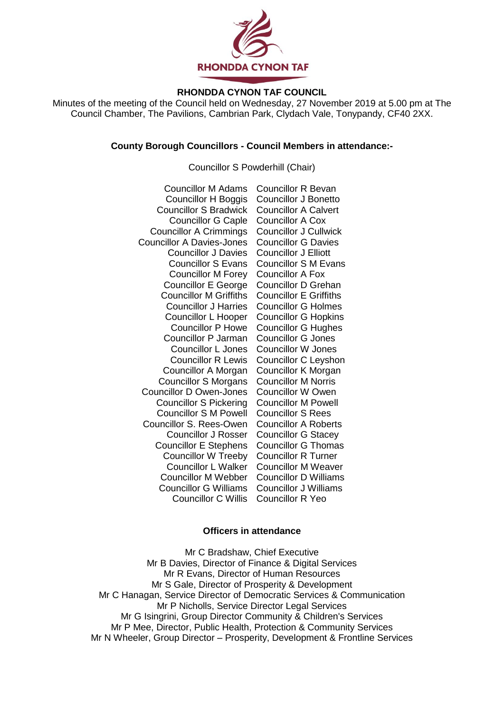

# **RHONDDA CYNON TAF COUNCIL**

Minutes of the meeting of the Council held on Wednesday, 27 November 2019 at 5.00 pm at The Council Chamber, The Pavilions, Cambrian Park, Clydach Vale, Tonypandy, CF40 2XX.

## **County Borough Councillors - Council Members in attendance:-**

## Councillor S Powderhill (Chair)

| <b>Councillor M Adams</b>        | <b>Councillor R Bevan</b>     |
|----------------------------------|-------------------------------|
| Councillor H Boggis              | Councillor J Bonetto          |
| <b>Councillor S Bradwick</b>     | <b>Councillor A Calvert</b>   |
| <b>Councillor G Caple</b>        | <b>Councillor A Cox</b>       |
| <b>Councillor A Crimmings</b>    | <b>Councillor J Cullwick</b>  |
| <b>Councillor A Davies-Jones</b> | <b>Councillor G Davies</b>    |
| <b>Councillor J Davies</b>       | <b>Councillor J Elliott</b>   |
| <b>Councillor S Evans</b>        | <b>Councillor S M Evans</b>   |
| <b>Councillor M Forey</b>        | <b>Councillor A Fox</b>       |
| <b>Councillor E George</b>       | <b>Councillor D Grehan</b>    |
| <b>Councillor M Griffiths</b>    | <b>Councillor E Griffiths</b> |
| <b>Councillor J Harries</b>      | <b>Councillor G Holmes</b>    |
| Councillor L Hooper              | <b>Councillor G Hopkins</b>   |
| <b>Councillor P Howe</b>         | <b>Councillor G Hughes</b>    |
| <b>Councillor P Jarman</b>       | <b>Councillor G Jones</b>     |
| <b>Councillor L Jones</b>        | <b>Councillor W Jones</b>     |
| <b>Councillor R Lewis</b>        | Councillor C Leyshon          |
| Councillor A Morgan              | Councillor K Morgan           |
| <b>Councillor S Morgans</b>      | <b>Councillor M Norris</b>    |
| <b>Councillor D Owen-Jones</b>   | <b>Councillor W Owen</b>      |
| <b>Councillor S Pickering</b>    | <b>Councillor M Powell</b>    |
| <b>Councillor S M Powell</b>     | <b>Councillor S Rees</b>      |
| Councillor S. Rees-Owen          | <b>Councillor A Roberts</b>   |
| <b>Councillor J Rosser</b>       | <b>Councillor G Stacey</b>    |
| <b>Councillor E Stephens</b>     | <b>Councillor G Thomas</b>    |
| <b>Councillor W Treeby</b>       | <b>Councillor R Turner</b>    |
| <b>Councillor L Walker</b>       | <b>Councillor M Weaver</b>    |
| <b>Councillor M Webber</b>       | <b>Councillor D Williams</b>  |
| <b>Councillor G Williams</b>     | <b>Councillor J Williams</b>  |
| <b>Councillor C Willis</b>       | <b>Councillor R Yeo</b>       |

#### **Officers in attendance**

Mr C Bradshaw, Chief Executive Mr B Davies, Director of Finance & Digital Services Mr R Evans, Director of Human Resources Mr S Gale, Director of Prosperity & Development Mr C Hanagan, Service Director of Democratic Services & Communication Mr P Nicholls, Service Director Legal Services Mr G Isingrini, Group Director Community & Children's Services Mr P Mee, Director, Public Health, Protection & Community Services Mr N Wheeler, Group Director – Prosperity, Development & Frontline Services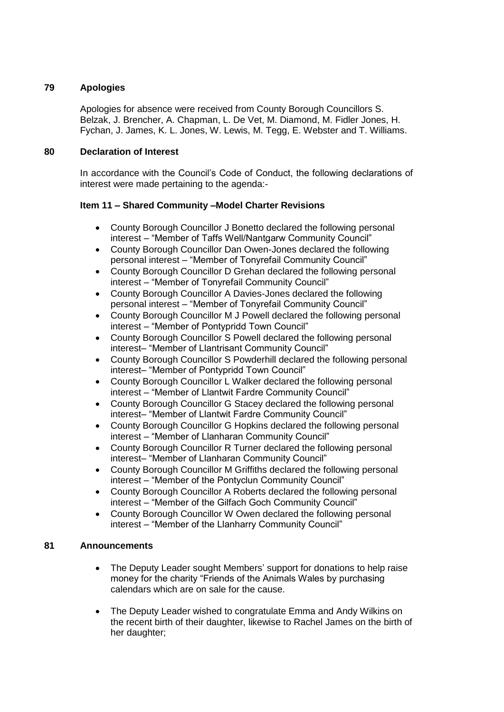# **79 Apologies**

Apologies for absence were received from County Borough Councillors S. Belzak, J. Brencher, A. Chapman, L. De Vet, M. Diamond, M. Fidler Jones, H. Fychan, J. James, K. L. Jones, W. Lewis, M. Tegg, E. Webster and T. Williams.

# **80 Declaration of Interest**

In accordance with the Council's Code of Conduct, the following declarations of interest were made pertaining to the agenda:-

# **Item 11 – Shared Community –Model Charter Revisions**

- County Borough Councillor J Bonetto declared the following personal interest – "Member of Taffs Well/Nantgarw Community Council"
- County Borough Councillor Dan Owen-Jones declared the following personal interest – "Member of Tonyrefail Community Council"
- County Borough Councillor D Grehan declared the following personal interest – "Member of Tonyrefail Community Council"
- County Borough Councillor A Davies-Jones declared the following personal interest – "Member of Tonyrefail Community Council"
- County Borough Councillor M J Powell declared the following personal interest – "Member of Pontypridd Town Council"
- County Borough Councillor S Powell declared the following personal interest– "Member of Llantrisant Community Council"
- County Borough Councillor S Powderhill declared the following personal interest– "Member of Pontypridd Town Council"
- County Borough Councillor L Walker declared the following personal interest – "Member of Llantwit Fardre Community Council"
- County Borough Councillor G Stacey declared the following personal interest– "Member of Llantwit Fardre Community Council"
- County Borough Councillor G Hopkins declared the following personal interest – "Member of Llanharan Community Council"
- County Borough Councillor R Turner declared the following personal interest– "Member of Llanharan Community Council"
- County Borough Councillor M Griffiths declared the following personal interest – "Member of the Pontyclun Community Council"
- County Borough Councillor A Roberts declared the following personal interest – "Member of the Gilfach Goch Community Council"
- County Borough Councillor W Owen declared the following personal interest – "Member of the Llanharry Community Council"

# **81 Announcements**

- The Deputy Leader sought Members' support for donations to help raise money for the charity "Friends of the Animals Wales by purchasing calendars which are on sale for the cause.
- The Deputy Leader wished to congratulate Emma and Andy Wilkins on the recent birth of their daughter, likewise to Rachel James on the birth of her daughter;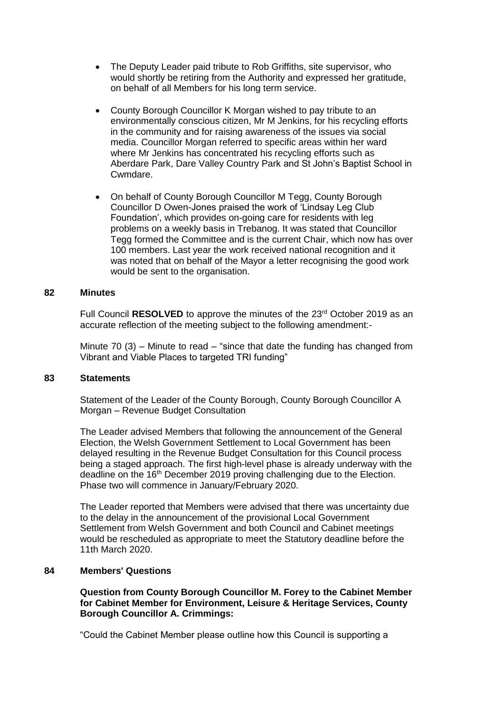- The Deputy Leader paid tribute to Rob Griffiths, site supervisor, who would shortly be retiring from the Authority and expressed her gratitude, on behalf of all Members for his long term service.
- County Borough Councillor K Morgan wished to pay tribute to an environmentally conscious citizen, Mr M Jenkins, for his recycling efforts in the community and for raising awareness of the issues via social media. Councillor Morgan referred to specific areas within her ward where Mr Jenkins has concentrated his recycling efforts such as Aberdare Park, Dare Valley Country Park and St John's Baptist School in Cwmdare.
- On behalf of County Borough Councillor M Tegg, County Borough Councillor D Owen-Jones praised the work of 'Lindsay Leg Club Foundation', which provides on-going care for residents with leg problems on a weekly basis in Trebanog. It was stated that Councillor Tegg formed the Committee and is the current Chair, which now has over 100 members. Last year the work received national recognition and it was noted that on behalf of the Mayor a letter recognising the good work would be sent to the organisation.

## **82 Minutes**

Full Council **RESOLVED** to approve the minutes of the 23rd October 2019 as an accurate reflection of the meeting subject to the following amendment:-

Minute  $70$  (3) – Minute to read – "since that date the funding has changed from Vibrant and Viable Places to targeted TRI funding"

#### **83 Statements**

Statement of the Leader of the County Borough, County Borough Councillor A Morgan – Revenue Budget Consultation

The Leader advised Members that following the announcement of the General Election, the Welsh Government Settlement to Local Government has been delayed resulting in the Revenue Budget Consultation for this Council process being a staged approach. The first high-level phase is already underway with the deadline on the 16<sup>th</sup> December 2019 proving challenging due to the Election. Phase two will commence in January/February 2020.

The Leader reported that Members were advised that there was uncertainty due to the delay in the announcement of the provisional Local Government Settlement from Welsh Government and both Council and Cabinet meetings would be rescheduled as appropriate to meet the Statutory deadline before the 11th March 2020.

# **84 Members' Questions**

**1. Question from County Borough Councillor M. Forey to the Cabinet Member for Cabinet Member for Environment, Leisure & Heritage Services, County Borough Councillor A. Crimmings:**

"Could the Cabinet Member please outline how this Council is supporting a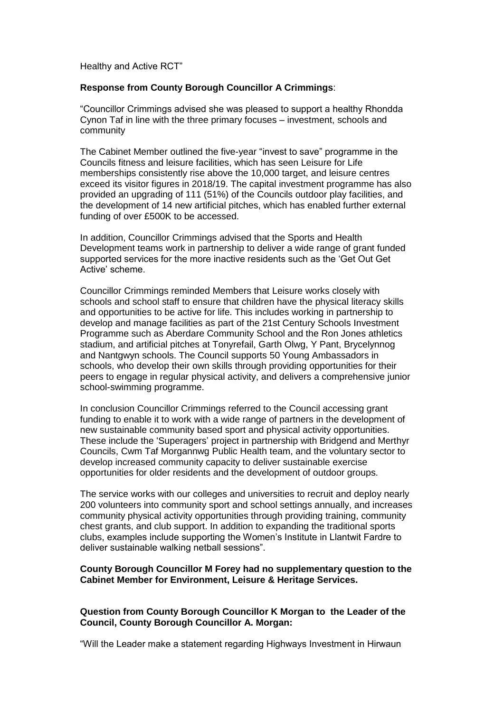Healthy and Active RCT"

## **Response from County Borough Councillor A Crimmings**:

"Councillor Crimmings advised she was pleased to support a healthy Rhondda Cynon Taf in line with the three primary focuses – investment, schools and community

The Cabinet Member outlined the five-year "invest to save" programme in the Councils fitness and leisure facilities, which has seen Leisure for Life memberships consistently rise above the 10,000 target, and leisure centres exceed its visitor figures in 2018/19. The capital investment programme has also provided an upgrading of 111 (51%) of the Councils outdoor play facilities, and the development of 14 new artificial pitches, which has enabled further external funding of over £500K to be accessed.

In addition, Councillor Crimmings advised that the Sports and Health Development teams work in partnership to deliver a wide range of grant funded supported services for the more inactive residents such as the 'Get Out Get Active' scheme.

Councillor Crimmings reminded Members that Leisure works closely with schools and school staff to ensure that children have the physical literacy skills and opportunities to be active for life. This includes working in partnership to develop and manage facilities as part of the 21st Century Schools Investment Programme such as Aberdare Community School and the Ron Jones athletics stadium, and artificial pitches at Tonyrefail, Garth Olwg, Y Pant, Brycelynnog and Nantgwyn schools. The Council supports 50 Young Ambassadors in schools, who develop their own skills through providing opportunities for their peers to engage in regular physical activity, and delivers a comprehensive junior school-swimming programme.

In conclusion Councillor Crimmings referred to the Council accessing grant funding to enable it to work with a wide range of partners in the development of new sustainable community based sport and physical activity opportunities. These include the 'Superagers' project in partnership with Bridgend and Merthyr Councils, Cwm Taf Morgannwg Public Health team, and the voluntary sector to develop increased community capacity to deliver sustainable exercise opportunities for older residents and the development of outdoor groups.

The service works with our colleges and universities to recruit and deploy nearly 200 volunteers into community sport and school settings annually, and increases community physical activity opportunities through providing training, community chest grants, and club support. In addition to expanding the traditional sports clubs, examples include supporting the Women's Institute in Llantwit Fardre to deliver sustainable walking netball sessions".

#### **County Borough Councillor M Forey had no supplementary question to the Cabinet Member for Environment, Leisure & Heritage Services.**

## **2. Question from County Borough Councillor K Morgan to the Leader of the Council, County Borough Councillor A. Morgan:**

"Will the Leader make a statement regarding Highways Investment in Hirwaun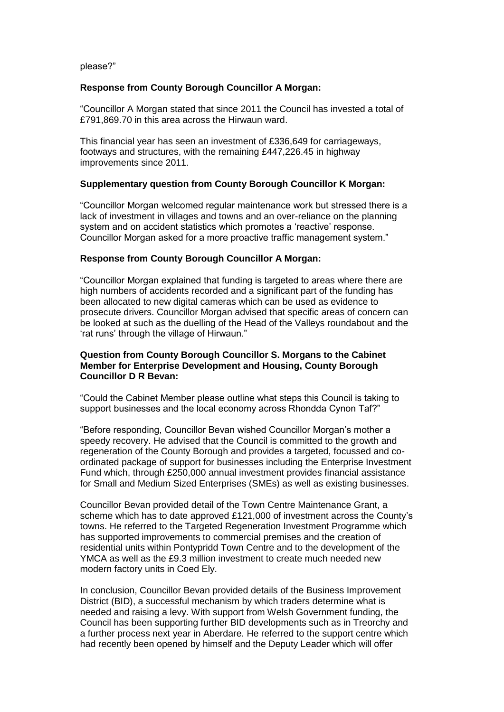please?"

## **Response from County Borough Councillor A Morgan:**

"Councillor A Morgan stated that since 2011 the Council has invested a total of £791,869.70 in this area across the Hirwaun ward.

This financial year has seen an investment of £336,649 for carriageways, footways and structures, with the remaining £447,226.45 in highway improvements since 2011.

## **Supplementary question from County Borough Councillor K Morgan:**

"Councillor Morgan welcomed regular maintenance work but stressed there is a lack of investment in villages and towns and an over-reliance on the planning system and on accident statistics which promotes a 'reactive' response. Councillor Morgan asked for a more proactive traffic management system."

## **Response from County Borough Councillor A Morgan:**

"Councillor Morgan explained that funding is targeted to areas where there are high numbers of accidents recorded and a significant part of the funding has been allocated to new digital cameras which can be used as evidence to prosecute drivers. Councillor Morgan advised that specific areas of concern can be looked at such as the duelling of the Head of the Valleys roundabout and the 'rat runs' through the village of Hirwaun."

## **3. Question from County Borough Councillor S. Morgans to the Cabinet Member for Enterprise Development and Housing, County Borough Councillor D R Bevan:**

"Could the Cabinet Member please outline what steps this Council is taking to support businesses and the local economy across Rhondda Cynon Taf?"

"Before responding, Councillor Bevan wished Councillor Morgan's mother a speedy recovery. He advised that the Council is committed to the growth and regeneration of the County Borough and provides a targeted, focussed and coordinated package of support for businesses including the Enterprise Investment Fund which, through £250,000 annual investment provides financial assistance for Small and Medium Sized Enterprises (SMEs) as well as existing businesses.

Councillor Bevan provided detail of the Town Centre Maintenance Grant, a scheme which has to date approved £121,000 of investment across the County's towns. He referred to the Targeted Regeneration Investment Programme which has supported improvements to commercial premises and the creation of residential units within Pontypridd Town Centre and to the development of the YMCA as well as the £9.3 million investment to create much needed new modern factory units in Coed Ely.

In conclusion, Councillor Bevan provided details of the Business Improvement District (BID), a successful mechanism by which traders determine what is needed and raising a levy. With support from Welsh Government funding, the Council has been supporting further BID developments such as in Treorchy and a further process next year in Aberdare. He referred to the support centre which had recently been opened by himself and the Deputy Leader which will offer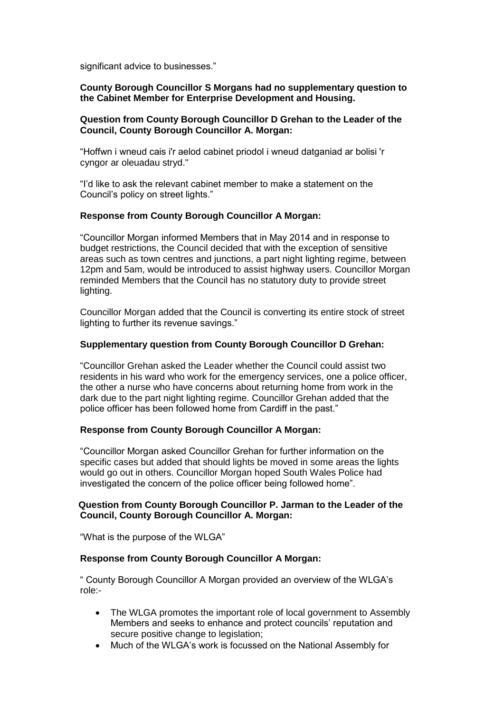significant advice to businesses."

# **County Borough Councillor S Morgans had no supplementary question to the Cabinet Member for Enterprise Development and Housing.**

# **4. Question from County Borough Councillor D Grehan to the Leader of the Council, County Borough Councillor A. Morgan:**

"Hoffwn i wneud cais i'r aelod cabinet priodol i wneud datganiad ar bolisi 'r cyngor ar oleuadau stryd."

"I'd like to ask the relevant cabinet member to make a statement on the Council's policy on street lights."

# **Response from County Borough Councillor A Morgan:**

"Councillor Morgan informed Members that in May 2014 and in response to budget restrictions, the Council decided that with the exception of sensitive areas such as town centres and junctions, a part night lighting regime, between 12pm and 5am, would be introduced to assist highway users. Councillor Morgan reminded Members that the Council has no statutory duty to provide street lighting.

Councillor Morgan added that the Council is converting its entire stock of street lighting to further its revenue savings."

# **Supplementary question from County Borough Councillor D Grehan:**

"Councillor Grehan asked the Leader whether the Council could assist two residents in his ward who work for the emergency services, one a police officer, the other a nurse who have concerns about returning home from work in the dark due to the part night lighting regime. Councillor Grehan added that the police officer has been followed home from Cardiff in the past."

# **Response from County Borough Councillor A Morgan:**

"Councillor Morgan asked Councillor Grehan for further information on the specific cases but added that should lights be moved in some areas the lights would go out in others. Councillor Morgan hoped South Wales Police had investigated the concern of the police officer being followed home".

## **5**. **Question from County Borough Councillor P. Jarman to the Leader of the Council, County Borough Councillor A. Morgan:**

"What is the purpose of the WLGA"

# **Response from County Borough Councillor A Morgan:**

" County Borough Councillor A Morgan provided an overview of the WLGA's role:-

- The WLGA promotes the important role of local government to Assembly Members and seeks to enhance and protect councils' reputation and secure positive change to legislation;
- Much of the WLGA's work is focussed on the National Assembly for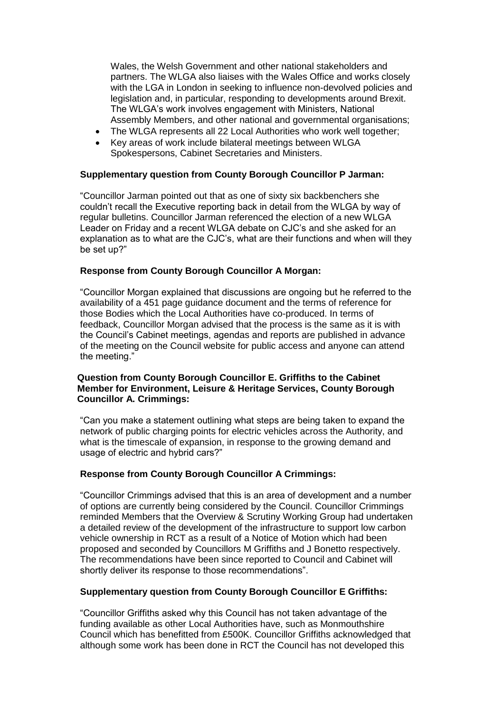Wales, the Welsh Government and other national stakeholders and partners. The WLGA also liaises with the Wales Office and works closely with the LGA in London in seeking to influence non-devolved policies and legislation and, in particular, responding to developments around Brexit. The WLGA's work involves engagement with Ministers, National Assembly Members, and other national and governmental organisations;

- The WLGA represents all 22 Local Authorities who work well together;
- Key areas of work include bilateral meetings between WLGA Spokespersons, Cabinet Secretaries and Ministers.

## **Supplementary question from County Borough Councillor P Jarman:**

"Councillor Jarman pointed out that as one of sixty six backbenchers she couldn't recall the Executive reporting back in detail from the WLGA by way of regular bulletins. Councillor Jarman referenced the election of a new WLGA Leader on Friday and a recent WLGA debate on CJC's and she asked for an explanation as to what are the CJC's, what are their functions and when will they be set up?"

## **Response from County Borough Councillor A Morgan:**

"Councillor Morgan explained that discussions are ongoing but he referred to the availability of a 451 page guidance document and the terms of reference for those Bodies which the Local Authorities have co-produced. In terms of feedback, Councillor Morgan advised that the process is the same as it is with the Council's Cabinet meetings, agendas and reports are published in advance of the meeting on the Council website for public access and anyone can attend the meeting."

## **6. Question from County Borough Councillor E. Griffiths to the Cabinet Member for Environment, Leisure & Heritage Services, County Borough Councillor A. Crimmings:**

"Can you make a statement outlining what steps are being taken to expand the network of public charging points for electric vehicles across the Authority, and what is the timescale of expansion, in response to the growing demand and usage of electric and hybrid cars?"

# **Response from County Borough Councillor A Crimmings:**

"Councillor Crimmings advised that this is an area of development and a number of options are currently being considered by the Council. Councillor Crimmings reminded Members that the Overview & Scrutiny Working Group had undertaken a detailed review of the development of the infrastructure to support low carbon vehicle ownership in RCT as a result of a Notice of Motion which had been proposed and seconded by Councillors M Griffiths and J Bonetto respectively. The recommendations have been since reported to Council and Cabinet will shortly deliver its response to those recommendations".

#### **Supplementary question from County Borough Councillor E Griffiths:**

"Councillor Griffiths asked why this Council has not taken advantage of the funding available as other Local Authorities have, such as Monmouthshire Council which has benefitted from £500K. Councillor Griffiths acknowledged that although some work has been done in RCT the Council has not developed this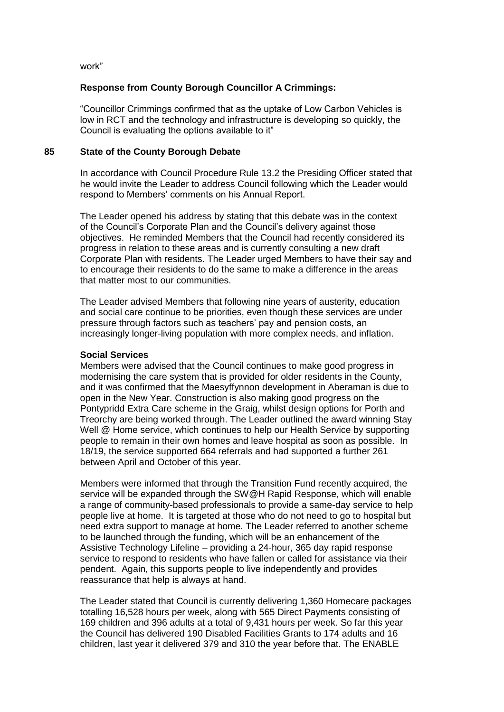work"

## **Response from County Borough Councillor A Crimmings:**

"Councillor Crimmings confirmed that as the uptake of Low Carbon Vehicles is low in RCT and the technology and infrastructure is developing so quickly, the Council is evaluating the options available to it"

#### **85 State of the County Borough Debate**

In accordance with Council Procedure Rule 13.2 the Presiding Officer stated that he would invite the Leader to address Council following which the Leader would respond to Members' comments on his Annual Report.

The Leader opened his address by stating that this debate was in the context of the Council's Corporate Plan and the Council's delivery against those objectives. He reminded Members that the Council had recently considered its progress in relation to these areas and is currently consulting a new draft Corporate Plan with residents. The Leader urged Members to have their say and to encourage their residents to do the same to make a difference in the areas that matter most to our communities.

The Leader advised Members that following nine years of austerity, education and social care continue to be priorities, even though these services are under pressure through factors such as teachers' pay and pension costs, an increasingly longer-living population with more complex needs, and inflation.

#### **Social Services**

Members were advised that the Council continues to make good progress in modernising the care system that is provided for older residents in the County, and it was confirmed that the Maesyffynnon development in Aberaman is due to open in the New Year. Construction is also making good progress on the Pontypridd Extra Care scheme in the Graig, whilst design options for Porth and Treorchy are being worked through. The Leader outlined the award winning Stay Well @ Home service, which continues to help our Health Service by supporting people to remain in their own homes and leave hospital as soon as possible. In 18/19, the service supported 664 referrals and had supported a further 261 between April and October of this year.

Members were informed that through the Transition Fund recently acquired, the service will be expanded through the SW@H Rapid Response, which will enable a range of community-based professionals to provide a same-day service to help people live at home. It is targeted at those who do not need to go to hospital but need extra support to manage at home. The Leader referred to another scheme to be launched through the funding, which will be an enhancement of the Assistive Technology Lifeline – providing a 24-hour, 365 day rapid response service to respond to residents who have fallen or called for assistance via their pendent. Again, this supports people to live independently and provides reassurance that help is always at hand.

The Leader stated that Council is currently delivering 1,360 Homecare packages totalling 16,528 hours per week, along with 565 Direct Payments consisting of 169 children and 396 adults at a total of 9,431 hours per week. So far this year the Council has delivered 190 Disabled Facilities Grants to 174 adults and 16 children, last year it delivered 379 and 310 the year before that. The ENABLE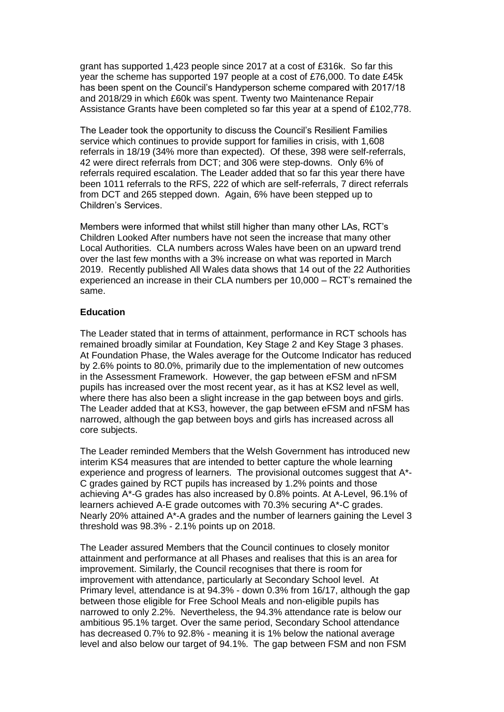grant has supported 1,423 people since 2017 at a cost of £316k. So far this year the scheme has supported 197 people at a cost of £76,000. To date £45k has been spent on the Council's Handyperson scheme compared with 2017/18 and 2018/29 in which £60k was spent. Twenty two Maintenance Repair Assistance Grants have been completed so far this year at a spend of £102,778.

The Leader took the opportunity to discuss the Council's Resilient Families service which continues to provide support for families in crisis, with 1,608 referrals in 18/19 (34% more than expected). Of these, 398 were self-referrals, 42 were direct referrals from DCT; and 306 were step-downs. Only 6% of referrals required escalation. The Leader added that so far this year there have been 1011 referrals to the RFS, 222 of which are self-referrals, 7 direct referrals from DCT and 265 stepped down. Again, 6% have been stepped up to Children's Services.

Members were informed that whilst still higher than many other LAs, RCT's Children Looked After numbers have not seen the increase that many other Local Authorities. CLA numbers across Wales have been on an upward trend over the last few months with a 3% increase on what was reported in March 2019. Recently published All Wales data shows that 14 out of the 22 Authorities experienced an increase in their CLA numbers per 10,000 – RCT's remained the same.

# **Education**

The Leader stated that in terms of attainment, performance in RCT schools has remained broadly similar at Foundation, Key Stage 2 and Key Stage 3 phases. At Foundation Phase, the Wales average for the Outcome Indicator has reduced by 2.6% points to 80.0%, primarily due to the implementation of new outcomes in the Assessment Framework. However, the gap between eFSM and nFSM pupils has increased over the most recent year, as it has at KS2 level as well, where there has also been a slight increase in the gap between boys and girls. The Leader added that at KS3, however, the gap between eFSM and nFSM has narrowed, although the gap between boys and girls has increased across all core subjects.

The Leader reminded Members that the Welsh Government has introduced new interim KS4 measures that are intended to better capture the whole learning experience and progress of learners. The provisional outcomes suggest that A\*- C grades gained by RCT pupils has increased by 1.2% points and those achieving A\*-G grades has also increased by 0.8% points. At A-Level, 96.1% of learners achieved A-E grade outcomes with 70.3% securing A\*-C grades. Nearly 20% attained A\*-A grades and the number of learners gaining the Level 3 threshold was 98.3% - 2.1% points up on 2018.

The Leader assured Members that the Council continues to closely monitor attainment and performance at all Phases and realises that this is an area for improvement. Similarly, the Council recognises that there is room for improvement with attendance, particularly at Secondary School level. At Primary level, attendance is at 94.3% - down 0.3% from 16/17, although the gap between those eligible for Free School Meals and non-eligible pupils has narrowed to only 2.2%. Nevertheless, the 94.3% attendance rate is below our ambitious 95.1% target. Over the same period, Secondary School attendance has decreased 0.7% to 92.8% - meaning it is 1% below the national average level and also below our target of 94.1%. The gap between FSM and non FSM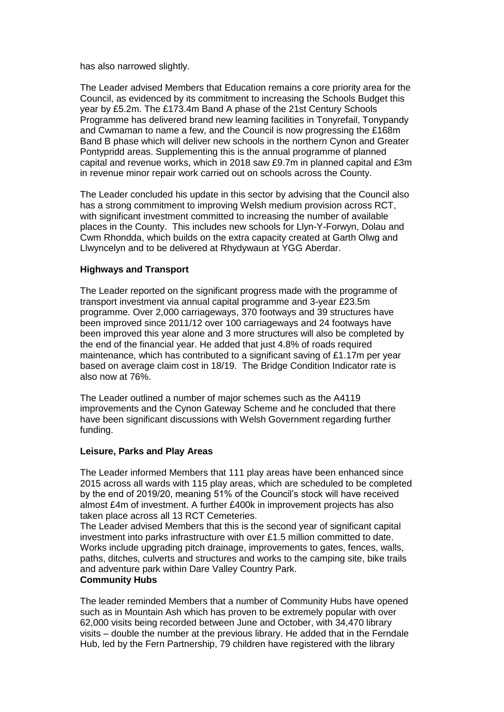has also narrowed slightly.

The Leader advised Members that Education remains a core priority area for the Council, as evidenced by its commitment to increasing the Schools Budget this year by £5.2m. The £173.4m Band A phase of the 21st Century Schools Programme has delivered brand new learning facilities in Tonyrefail, Tonypandy and Cwmaman to name a few, and the Council is now progressing the £168m Band B phase which will deliver new schools in the northern Cynon and Greater Pontypridd areas. Supplementing this is the annual programme of planned capital and revenue works, which in 2018 saw £9.7m in planned capital and £3m in revenue minor repair work carried out on schools across the County.

The Leader concluded his update in this sector by advising that the Council also has a strong commitment to improving Welsh medium provision across RCT, with significant investment committed to increasing the number of available places in the County. This includes new schools for Llyn-Y-Forwyn, Dolau and Cwm Rhondda, which builds on the extra capacity created at Garth Olwg and Llwyncelyn and to be delivered at Rhydywaun at YGG Aberdar.

## **Highways and Transport**

The Leader reported on the significant progress made with the programme of transport investment via annual capital programme and 3-year £23.5m programme. Over 2,000 carriageways, 370 footways and 39 structures have been improved since 2011/12 over 100 carriageways and 24 footways have been improved this year alone and 3 more structures will also be completed by the end of the financial year. He added that just 4.8% of roads required maintenance, which has contributed to a significant saving of £1.17m per year based on average claim cost in 18/19. The Bridge Condition Indicator rate is also now at 76%.

The Leader outlined a number of major schemes such as the A4119 improvements and the Cynon Gateway Scheme and he concluded that there have been significant discussions with Welsh Government regarding further funding.

#### **Leisure, Parks and Play Areas**

The Leader informed Members that 111 play areas have been enhanced since 2015 across all wards with 115 play areas, which are scheduled to be completed by the end of 2019/20, meaning 51% of the Council's stock will have received almost £4m of investment. A further £400k in improvement projects has also taken place across all 13 RCT Cemeteries.

The Leader advised Members that this is the second year of significant capital investment into parks infrastructure with over £1.5 million committed to date. Works include upgrading pitch drainage, improvements to gates, fences, walls, paths, ditches, culverts and structures and works to the camping site, bike trails and adventure park within Dare Valley Country Park. **Community Hubs**

The leader reminded Members that a number of Community Hubs have opened such as in Mountain Ash which has proven to be extremely popular with over 62,000 visits being recorded between June and October, with 34,470 library visits – double the number at the previous library. He added that in the Ferndale Hub, led by the Fern Partnership, 79 children have registered with the library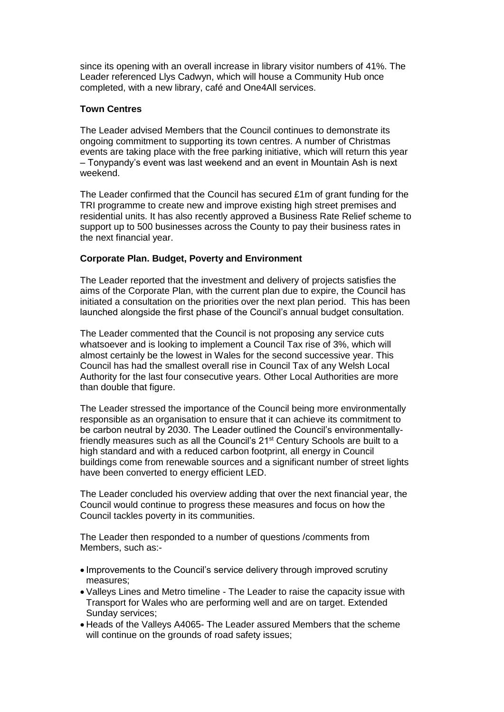since its opening with an overall increase in library visitor numbers of 41%. The Leader referenced Llys Cadwyn, which will house a Community Hub once completed, with a new library, café and One4All services.

## **Town Centres**

The Leader advised Members that the Council continues to demonstrate its ongoing commitment to supporting its town centres. A number of Christmas events are taking place with the free parking initiative, which will return this year – Tonypandy's event was last weekend and an event in Mountain Ash is next weekend.

The Leader confirmed that the Council has secured £1m of grant funding for the TRI programme to create new and improve existing high street premises and residential units. It has also recently approved a Business Rate Relief scheme to support up to 500 businesses across the County to pay their business rates in the next financial year.

# **Corporate Plan. Budget, Poverty and Environment**

The Leader reported that the investment and delivery of projects satisfies the aims of the Corporate Plan, with the current plan due to expire, the Council has initiated a consultation on the priorities over the next plan period. This has been launched alongside the first phase of the Council's annual budget consultation.

The Leader commented that the Council is not proposing any service cuts whatsoever and is looking to implement a Council Tax rise of 3%, which will almost certainly be the lowest in Wales for the second successive year. This Council has had the smallest overall rise in Council Tax of any Welsh Local Authority for the last four consecutive years. Other Local Authorities are more than double that figure.

The Leader stressed the importance of the Council being more environmentally responsible as an organisation to ensure that it can achieve its commitment to be carbon neutral by 2030. The Leader outlined the Council's environmentallyfriendly measures such as all the Council's 21<sup>st</sup> Century Schools are built to a high standard and with a reduced carbon footprint, all energy in Council buildings come from renewable sources and a significant number of street lights have been converted to energy efficient LED.

The Leader concluded his overview adding that over the next financial year, the Council would continue to progress these measures and focus on how the Council tackles poverty in its communities.

The Leader then responded to a number of questions /comments from Members, such as:-

- Improvements to the Council's service delivery through improved scrutiny measures;
- Valleys Lines and Metro timeline The Leader to raise the capacity issue with Transport for Wales who are performing well and are on target. Extended Sunday services;
- Heads of the Valleys A4065- The Leader assured Members that the scheme will continue on the grounds of road safety issues;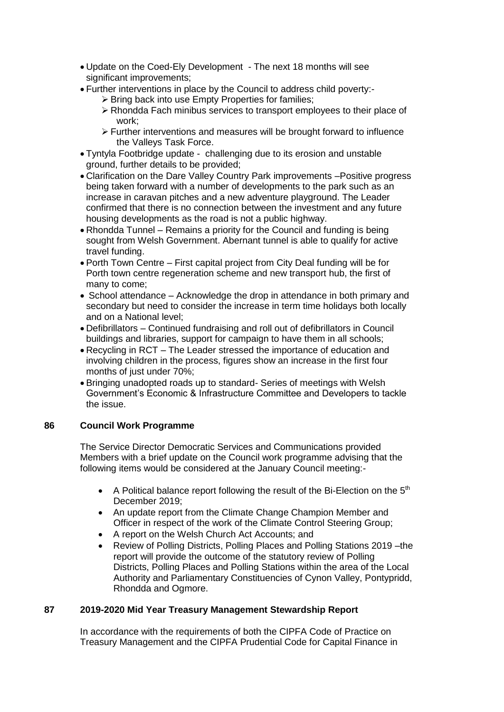- Update on the Coed-Ely Development The next 18 months will see significant improvements;
- Further interventions in place by the Council to address child poverty:-
	- $\triangleright$  Bring back into use Empty Properties for families;
		- Rhondda Fach minibus services to transport employees to their place of work;
		- Further interventions and measures will be brought forward to influence the Valleys Task Force.
- Tyntyla Footbridge update challenging due to its erosion and unstable ground, further details to be provided;
- Clarification on the Dare Valley Country Park improvements –Positive progress being taken forward with a number of developments to the park such as an increase in caravan pitches and a new adventure playground. The Leader confirmed that there is no connection between the investment and any future housing developments as the road is not a public highway.
- Rhondda Tunnel Remains a priority for the Council and funding is being sought from Welsh Government. Abernant tunnel is able to qualify for active travel funding.
- Porth Town Centre First capital project from City Deal funding will be for Porth town centre regeneration scheme and new transport hub, the first of many to come;
- School attendance Acknowledge the drop in attendance in both primary and secondary but need to consider the increase in term time holidays both locally and on a National level;
- Defibrillators Continued fundraising and roll out of defibrillators in Council buildings and libraries, support for campaign to have them in all schools;
- Recycling in RCT The Leader stressed the importance of education and involving children in the process, figures show an increase in the first four months of just under 70%;
- Bringing unadopted roads up to standard- Series of meetings with Welsh Government's Economic & Infrastructure Committee and Developers to tackle the issue.

# **86 Council Work Programme**

The Service Director Democratic Services and Communications provided Members with a brief update on the Council work programme advising that the following items would be considered at the January Council meeting:-

- A Political balance report following the result of the Bi-Election on the  $5<sup>th</sup>$ December 2019;
- An update report from the Climate Change Champion Member and Officer in respect of the work of the Climate Control Steering Group;
- A report on the Welsh Church Act Accounts; and
- Review of Polling Districts, Polling Places and Polling Stations 2019 –the report will provide the outcome of the statutory review of Polling Districts, Polling Places and Polling Stations within the area of the Local Authority and Parliamentary Constituencies of Cynon Valley, Pontypridd, Rhondda and Ogmore.

# **87 2019-2020 Mid Year Treasury Management Stewardship Report**

In accordance with the requirements of both the CIPFA Code of Practice on Treasury Management and the CIPFA Prudential Code for Capital Finance in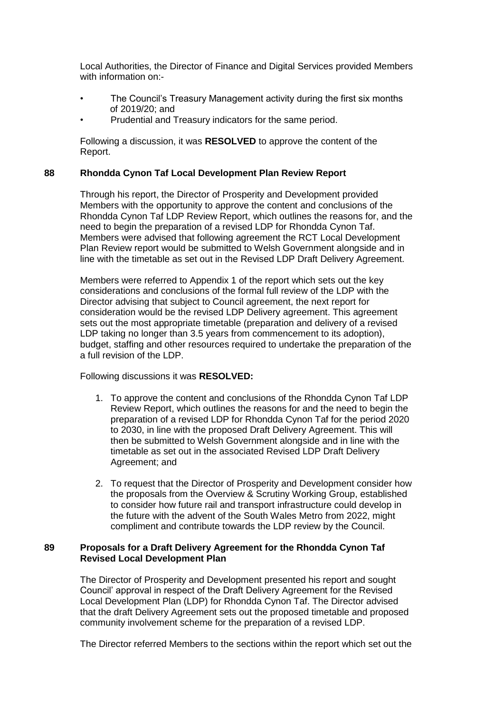Local Authorities, the Director of Finance and Digital Services provided Members with information on-

- The Council's Treasury Management activity during the first six months of 2019/20; and
- Prudential and Treasury indicators for the same period.

Following a discussion, it was **RESOLVED** to approve the content of the Report.

#### **88 Rhondda Cynon Taf Local Development Plan Review Report**

Through his report, the Director of Prosperity and Development provided Members with the opportunity to approve the content and conclusions of the Rhondda Cynon Taf LDP Review Report, which outlines the reasons for, and the need to begin the preparation of a revised LDP for Rhondda Cynon Taf. Members were advised that following agreement the RCT Local Development Plan Review report would be submitted to Welsh Government alongside and in line with the timetable as set out in the Revised LDP Draft Delivery Agreement.

Members were referred to Appendix 1 of the report which sets out the key considerations and conclusions of the formal full review of the LDP with the Director advising that subject to Council agreement, the next report for consideration would be the revised LDP Delivery agreement. This agreement sets out the most appropriate timetable (preparation and delivery of a revised LDP taking no longer than 3.5 years from commencement to its adoption), budget, staffing and other resources required to undertake the preparation of the a full revision of the LDP.

Following discussions it was **RESOLVED:**

- 1. To approve the content and conclusions of the Rhondda Cynon Taf LDP Review Report, which outlines the reasons for and the need to begin the preparation of a revised LDP for Rhondda Cynon Taf for the period 2020 to 2030, in line with the proposed Draft Delivery Agreement. This will then be submitted to Welsh Government alongside and in line with the timetable as set out in the associated Revised LDP Draft Delivery Agreement; and
- 2. To request that the Director of Prosperity and Development consider how the proposals from the Overview & Scrutiny Working Group, established to consider how future rail and transport infrastructure could develop in the future with the advent of the South Wales Metro from 2022, might compliment and contribute towards the LDP review by the Council.

## **89 Proposals for a Draft Delivery Agreement for the Rhondda Cynon Taf Revised Local Development Plan**

The Director of Prosperity and Development presented his report and sought Council' approval in respect of the Draft Delivery Agreement for the Revised Local Development Plan (LDP) for Rhondda Cynon Taf. The Director advised that the draft Delivery Agreement sets out the proposed timetable and proposed community involvement scheme for the preparation of a revised LDP.

The Director referred Members to the sections within the report which set out the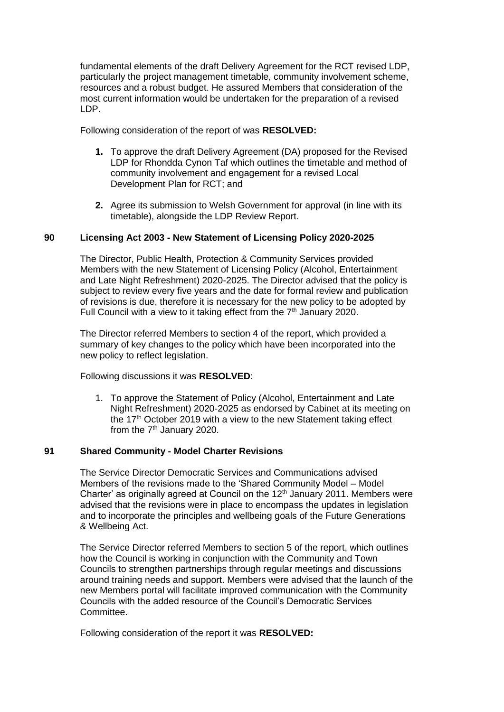fundamental elements of the draft Delivery Agreement for the RCT revised LDP, particularly the project management timetable, community involvement scheme, resources and a robust budget. He assured Members that consideration of the most current information would be undertaken for the preparation of a revised LDP.

Following consideration of the report of was **RESOLVED:**

- **1.** To approve the draft Delivery Agreement (DA) proposed for the Revised LDP for Rhondda Cynon Taf which outlines the timetable and method of community involvement and engagement for a revised Local Development Plan for RCT; and
- **2.** Agree its submission to Welsh Government for approval (in line with its timetable), alongside the LDP Review Report.

# **90 Licensing Act 2003 - New Statement of Licensing Policy 2020-2025**

The Director, Public Health, Protection & Community Services provided Members with the new Statement of Licensing Policy (Alcohol, Entertainment and Late Night Refreshment) 2020-2025. The Director advised that the policy is subject to review every five years and the date for formal review and publication of revisions is due, therefore it is necessary for the new policy to be adopted by Full Council with a view to it taking effect from the  $7<sup>th</sup>$  January 2020.

The Director referred Members to section 4 of the report, which provided a summary of key changes to the policy which have been incorporated into the new policy to reflect legislation.

Following discussions it was **RESOLVED**:

1. To approve the Statement of Policy (Alcohol, Entertainment and Late Night Refreshment) 2020-2025 as endorsed by Cabinet at its meeting on the 17<sup>th</sup> October 2019 with a view to the new Statement taking effect from the  $7<sup>th</sup>$  January 2020.

#### **91 Shared Community - Model Charter Revisions**

The Service Director Democratic Services and Communications advised Members of the revisions made to the 'Shared Community Model – Model Charter' as originally agreed at Council on the 12<sup>th</sup> January 2011. Members were advised that the revisions were in place to encompass the updates in legislation and to incorporate the principles and wellbeing goals of the Future Generations & Wellbeing Act.

The Service Director referred Members to section 5 of the report, which outlines how the Council is working in conjunction with the Community and Town Councils to strengthen partnerships through regular meetings and discussions around training needs and support. Members were advised that the launch of the new Members portal will facilitate improved communication with the Community Councils with the added resource of the Council's Democratic Services Committee.

Following consideration of the report it was **RESOLVED:**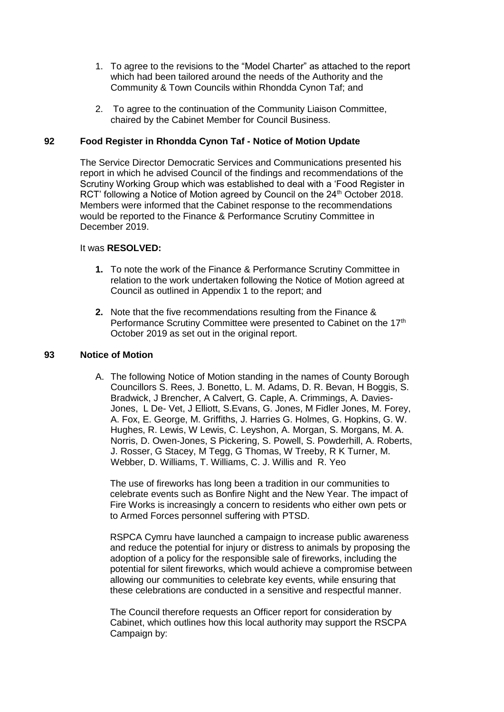- 1. To agree to the revisions to the "Model Charter" as attached to the report which had been tailored around the needs of the Authority and the Community & Town Councils within Rhondda Cynon Taf; and
- 2. To agree to the continuation of the Community Liaison Committee, chaired by the Cabinet Member for Council Business.

# **92 Food Register in Rhondda Cynon Taf - Notice of Motion Update**

The Service Director Democratic Services and Communications presented his report in which he advised Council of the findings and recommendations of the Scrutiny Working Group which was established to deal with a 'Food Register in RCT' following a Notice of Motion agreed by Council on the 24<sup>th</sup> October 2018. Members were informed that the Cabinet response to the recommendations would be reported to the Finance & Performance Scrutiny Committee in December 2019.

#### It was **RESOLVED:**

- **1.** To note the work of the Finance & Performance Scrutiny Committee in relation to the work undertaken following the Notice of Motion agreed at Council as outlined in Appendix 1 to the report; and
- **2.** Note that the five recommendations resulting from the Finance & Performance Scrutiny Committee were presented to Cabinet on the 17<sup>th</sup> October 2019 as set out in the original report.

#### **93 Notice of Motion**

A. The following Notice of Motion standing in the names of County Borough Councillors S. Rees, J. Bonetto, L. M. Adams, D. R. Bevan, H Boggis, S. Bradwick, J Brencher, A Calvert, G. Caple, A. Crimmings, A. Davies-Jones, L De- Vet, J Elliott, S.Evans, G. Jones, M Fidler Jones, M. Forey, A. Fox, E. George, M. Griffiths, J. Harries G. Holmes, G. Hopkins, G. W. Hughes, R. Lewis, W Lewis, C. Leyshon, A. Morgan, S. Morgans, M. A. Norris, D. Owen-Jones, S Pickering, S. Powell, S. Powderhill, A. Roberts, J. Rosser, G Stacey, M Tegg, G Thomas, W Treeby, R K Turner, M. Webber, D. Williams, T. Williams, C. J. Willis and R. Yeo

The use of fireworks has long been a tradition in our communities to celebrate events such as Bonfire Night and the New Year. The impact of Fire Works is increasingly a concern to residents who either own pets or to Armed Forces personnel suffering with PTSD.

RSPCA Cymru have launched a campaign to increase public awareness and reduce the potential for injury or distress to animals by proposing the adoption of a policy for the responsible sale of fireworks, including the potential for silent fireworks, which would achieve a compromise between allowing our communities to celebrate key events, while ensuring that these celebrations are conducted in a sensitive and respectful manner.

The Council therefore requests an Officer report for consideration by Cabinet, which outlines how this local authority may support the RSCPA Campaign by: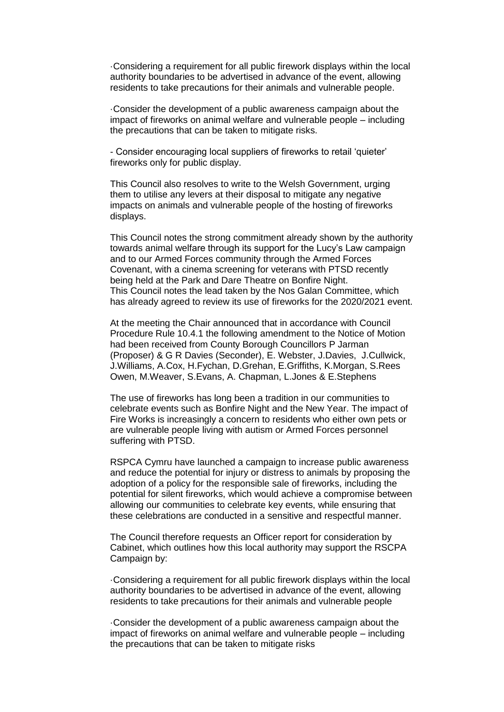·Considering a requirement for all public firework displays within the local authority boundaries to be advertised in advance of the event, allowing residents to take precautions for their animals and vulnerable people.

·Consider the development of a public awareness campaign about the impact of fireworks on animal welfare and vulnerable people – including the precautions that can be taken to mitigate risks.

- Consider encouraging local suppliers of fireworks to retail 'quieter' fireworks only for public display.

This Council also resolves to write to the Welsh Government, urging them to utilise any levers at their disposal to mitigate any negative impacts on animals and vulnerable people of the hosting of fireworks displays.

This Council notes the strong commitment already shown by the authority towards animal welfare through its support for the Lucy's Law campaign and to our Armed Forces community through the Armed Forces Covenant, with a cinema screening for veterans with PTSD recently being held at the Park and Dare Theatre on Bonfire Night. This Council notes the lead taken by the Nos Galan Committee, which has already agreed to review its use of fireworks for the 2020/2021 event.

At the meeting the Chair announced that in accordance with Council Procedure Rule 10.4.1 the following amendment to the Notice of Motion had been received from County Borough Councillors P Jarman (Proposer) & G R Davies (Seconder), E. Webster, J.Davies, J.Cullwick, J.Williams, A.Cox, H.Fychan, D.Grehan, E.Griffiths, K.Morgan, S.Rees Owen, M.Weaver, S.Evans, A. Chapman, L.Jones & E.Stephens

The use of fireworks has long been a tradition in our communities to celebrate events such as Bonfire Night and the New Year. The impact of Fire Works is increasingly a concern to residents who either own pets or are vulnerable people living with autism or Armed Forces personnel suffering with PTSD.

RSPCA Cymru have launched a campaign to increase public awareness and reduce the potential for injury or distress to animals by proposing the adoption of a policy for the responsible sale of fireworks, including the potential for silent fireworks, which would achieve a compromise between allowing our communities to celebrate key events, while ensuring that these celebrations are conducted in a sensitive and respectful manner.

The Council therefore requests an Officer report for consideration by Cabinet, which outlines how this local authority may support the RSCPA Campaign by:

·Considering a requirement for all public firework displays within the local authority boundaries to be advertised in advance of the event, allowing residents to take precautions for their animals and vulnerable people

·Consider the development of a public awareness campaign about the impact of fireworks on animal welfare and vulnerable people – including the precautions that can be taken to mitigate risks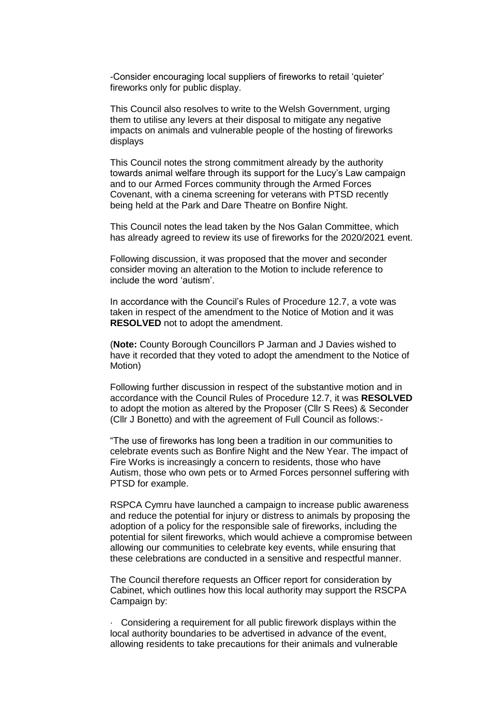-Consider encouraging local suppliers of fireworks to retail 'quieter' fireworks only for public display.

This Council also resolves to write to the Welsh Government, urging them to utilise any levers at their disposal to mitigate any negative impacts on animals and vulnerable people of the hosting of fireworks displays

This Council notes the strong commitment already by the authority towards animal welfare through its support for the Lucy's Law campaign and to our Armed Forces community through the Armed Forces Covenant, with a cinema screening for veterans with PTSD recently being held at the Park and Dare Theatre on Bonfire Night.

This Council notes the lead taken by the Nos Galan Committee, which has already agreed to review its use of fireworks for the 2020/2021 event.

Following discussion, it was proposed that the mover and seconder consider moving an alteration to the Motion to include reference to include the word 'autism'.

In accordance with the Council's Rules of Procedure 12.7, a vote was taken in respect of the amendment to the Notice of Motion and it was **RESOLVED** not to adopt the amendment.

(**Note:** County Borough Councillors P Jarman and J Davies wished to have it recorded that they voted to adopt the amendment to the Notice of Motion)

Following further discussion in respect of the substantive motion and in accordance with the Council Rules of Procedure 12.7, it was **RESOLVED** to adopt the motion as altered by the Proposer (Cllr S Rees) & Seconder (Cllr J Bonetto) and with the agreement of Full Council as follows:-

"The use of fireworks has long been a tradition in our communities to celebrate events such as Bonfire Night and the New Year. The impact of Fire Works is increasingly a concern to residents, those who have Autism, those who own pets or to Armed Forces personnel suffering with PTSD for example.

RSPCA Cymru have launched a campaign to increase public awareness and reduce the potential for injury or distress to animals by proposing the adoption of a policy for the responsible sale of fireworks, including the potential for silent fireworks, which would achieve a compromise between allowing our communities to celebrate key events, while ensuring that these celebrations are conducted in a sensitive and respectful manner.

The Council therefore requests an Officer report for consideration by Cabinet, which outlines how this local authority may support the RSCPA Campaign by:

· Considering a requirement for all public firework displays within the local authority boundaries to be advertised in advance of the event, allowing residents to take precautions for their animals and vulnerable